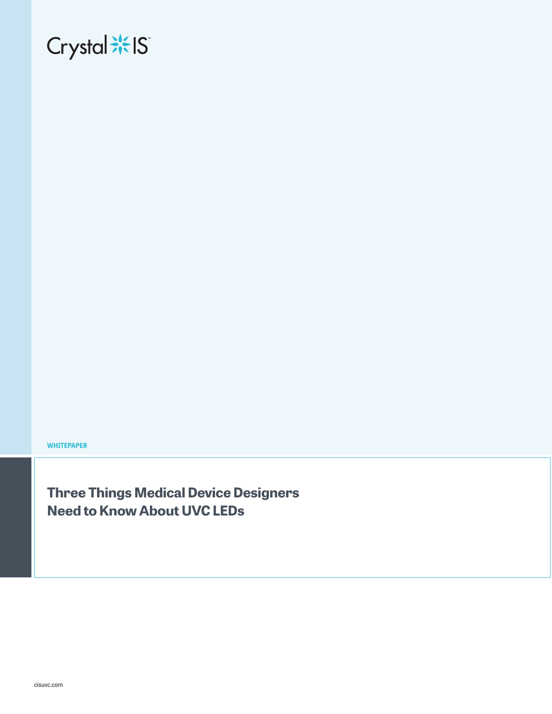# Crystal \*\* IS

**WHITEPAPER**

**Three Things Medical Device Designers Need to Know About UVC LEDs**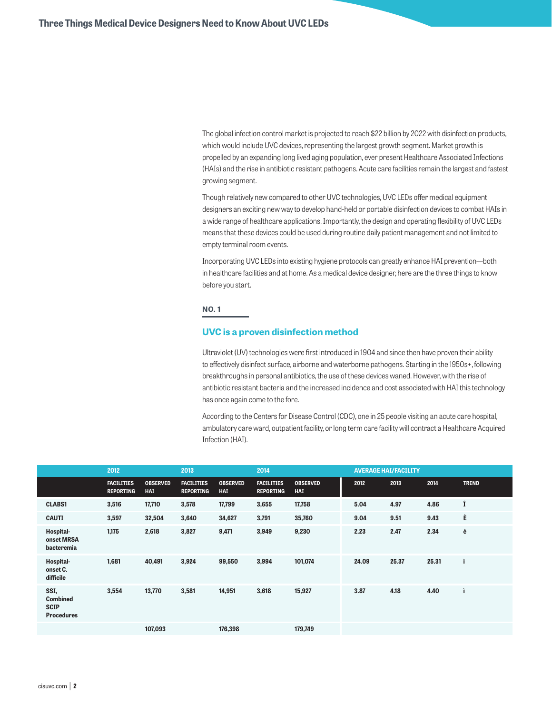The global infection control market is projected to reach \$22 billion by 2022 with disinfection products, which would include UVC devices, representing the largest growth segment. Market growth is propelled by an expanding long lived aging population, ever present Healthcare Associated Infections (HAIs) and the rise in antibiotic resistant pathogens. Acute care facilities remain the largest and fastest growing segment.

Though relatively new compared to other UVC technologies, UVC LEDs offer medical equipment designers an exciting new way to develop hand-held or portable disinfection devices to combat HAIs in a wide range of healthcare applications. Importantly, the design and operating flexibility of UVC LEDs means that these devices could be used during routine daily patient management and not limited to empty terminal room events.

Incorporating UVC LEDs into existing hygiene protocols can greatly enhance HAI prevention—both in healthcare facilities and at home. As a medical device designer, here are the three things to know before you start.

# **NO. 1**

### **UVC is a proven disinfection method**

Ultraviolet (UV) technologies were first introduced in 1904 and since then have proven their ability to effectively disinfect surface, airborne and waterborne pathogens. Starting in the 1950s+, following breakthroughs in personal antibiotics, the use of these devices waned. However, with the rise of antibiotic resistant bacteria and the increased incidence and cost associated with HAI this technology has once again come to the fore.

According to the Centers for Disease Control (CDC), one in 25 people visiting an acute care hospital, ambulatory care ward, outpatient facility, or long term care facility will contract a Healthcare Acquired Infection (HAI).

|                                                             | 2012                                  |                        | 2013                                  |                               | 2014                                  |                               | <b>AVERAGE HAI/FACILITY</b> |       |       |              |
|-------------------------------------------------------------|---------------------------------------|------------------------|---------------------------------------|-------------------------------|---------------------------------------|-------------------------------|-----------------------------|-------|-------|--------------|
|                                                             | <b>FACILITIES</b><br><b>REPORTING</b> | <b>OBSERVED</b><br>HAI | <b>FACILITIES</b><br><b>REPORTING</b> | <b>OBSERVED</b><br><b>HAI</b> | <b>FACILITIES</b><br><b>REPORTING</b> | <b>OBSERVED</b><br><b>HAI</b> | 2012                        | 2013  | 2014  | <b>TREND</b> |
| <b>CLABS1</b>                                               | 3,516                                 | 17,710                 | 3,578                                 | 17,799                        | 3,655                                 | 17,758                        | 5.04                        | 4.97  | 4.86  | Î            |
| <b>CAUTI</b>                                                | 3,597                                 | 32,504                 | 3,640                                 | 34,627                        | 3,791                                 | 35,760                        | 9.04                        | 9.51  | 9.43  | È            |
| Hospital-<br>onset MRSA<br>bacteremia                       | 1,175                                 | 2,618                  | 3,827                                 | 9,471                         | 3,949                                 | 9,230                         | 2.23                        | 2.47  | 2.34  | è            |
| Hospital-<br>onset C.<br>difficile                          | 1,681                                 | 40,491                 | 3,924                                 | 99,550                        | 3,994                                 | 101,074                       | 24.09                       | 25.37 | 25.31 | ì            |
| SSI,<br><b>Combined</b><br><b>SCIP</b><br><b>Procedures</b> | 3,554                                 | 13,770                 | 3,581                                 | 14,951                        | 3,618                                 | 15,927                        | 3.87                        | 4.18  | 4.40  |              |
|                                                             |                                       | 107,093                |                                       | 176,398                       |                                       | 179,749                       |                             |       |       |              |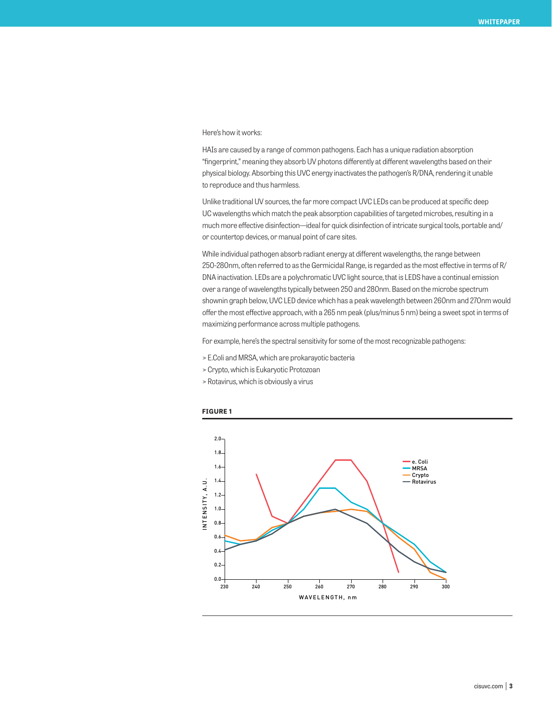#### Here's how it works:

HAIs are caused by a range of common pathogens. Each has a unique radiation absorption "fingerprint," meaning they absorb UV photons differently at different wavelengths based on their physical biology. Absorbing this UVC energy inactivates the pathogen's R/DNA, rendering it unable to reproduce and thus harmless.

Unlike traditional UV sources, the far more compact UVC LEDs can be produced at specific deep UC wavelengths which match the peak absorption capabilities of targeted microbes, resulting in a much more effective disinfection—ideal for quick disinfection of intricate surgical tools, portable and/ or countertop devices, or manual point of care sites.

While individual pathogen absorb radiant energy at different wavelengths, the range between 250-280nm, often referred to as the Germicidal Range, is regarded as the most effective in terms of R/ DNA inactivation. LEDs are a polychromatic UVC light source, that is LEDS have a continual emission over a range of wavelengths typically between 250 and 280nm. Based on the microbe spectrum shownin graph below, UVC LED device which has a peak wavelength between 260nm and 270nm would offer the most effective approach, with a 265 nm peak (plus/minus 5 nm) being a sweet spot in terms of maximizing performance across multiple pathogens.

For example, here's the spectral sensitivity for some of the most recognizable pathogens:

- > E.Coli and MRSA, which are prokarayotic bacteria
- > Crypto, which is Eukaryotic Protozoan
- > Rotavirus, which is obviously a virus



#### **FIGURE 1**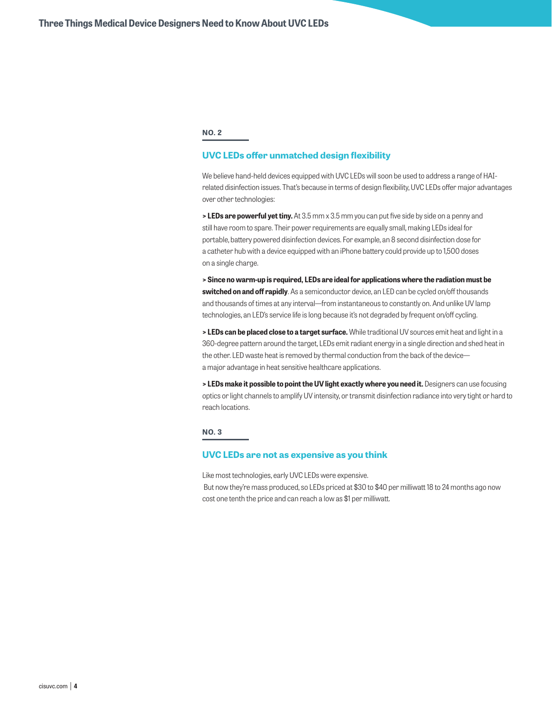#### **NO. 2**

# **UVC LEDs offer unmatched design flexibility**

We believe hand-held devices equipped with UVC LEDs will soon be used to address a range of HAIrelated disinfection issues. That's because in terms of design flexibility, UVC LEDs offer major advantages over other technologies:

**> LEDs are powerful yet tiny.** At 3.5 mm x 3.5 mm you can put five side by side on a penny and still have room to spare. Their power requirements are equally small, making LEDs ideal for portable, battery powered disinfection devices. For example, an 8 second disinfection dose for a catheter hub with a device equipped with an iPhone battery could provide up to 1,500 doses on a single charge.

**> Since no warm-up is required, LEDs are ideal for applications where the radiation must be switched on and off rapidly**. As a semiconductor device, an LED can be cycled on/off thousands and thousands of times at any interval—from instantaneous to constantly on. And unlike UV lamp technologies, an LED's service life is long because it's not degraded by frequent on/off cycling.

**> LEDs can be placed close to a target surface.** While traditional UV sources emit heat and light in a 360-degree pattern around the target, LEDs emit radiant energy in a single direction and shed heat in the other. LED waste heat is removed by thermal conduction from the back of the device a major advantage in heat sensitive healthcare applications.

**> LEDs make it possible to point the UV light exactly where you need it.** Designers can use focusing optics or light channels to amplify UV intensity, or transmit disinfection radiance into very tight or hard to reach locations.

# **NO. 3**

#### **UVC LEDs are not as expensive as you think**

Like most technologies, early UVC LEDs were expensive.

 But now they're mass produced, so LEDs priced at \$30 to \$40 per milliwatt 18 to 24 months ago now cost one tenth the price and can reach a low as \$1 per milliwatt.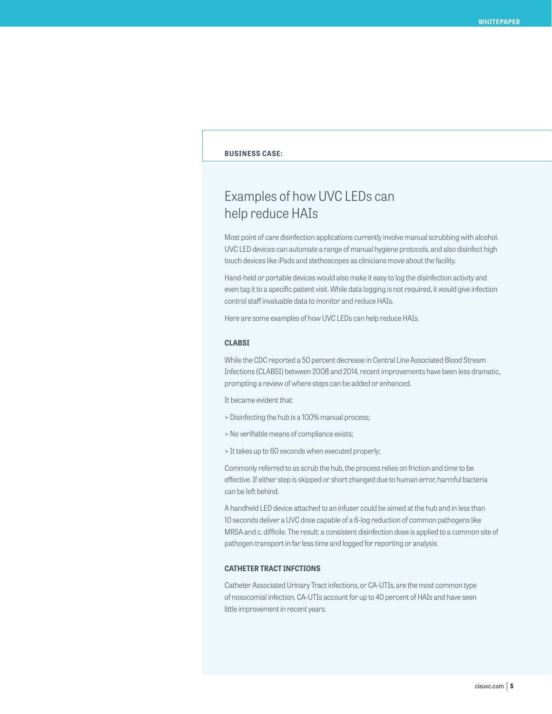# **BUSINESS CASE:**

# Examples of how UVC LEDs can help reduce HAIs

Most point of care disinfection applications currently involve manual scrubbing with alcohol. UVC LED devices can automate a range of manual hygiene protocols, and also disinfect high touch devices like iPads and stethoscopes as clinicians move about the facility.

Hand-held or portable devices would also make it easy to log the disinfection activity and even tag it to a specific patient visit. While data logging is not required, it would give infection control staff invaluable data to monitor and reduce HAIs.

Here are some examples of how UVC LEDs can help reduce HAIs.

#### **CLABSI**

While the CDC reported a 50 percent decrease in Central Line Associated Blood Stream Infections (CLABSI) between 2008 and 2014, recent improvements have been less dramatic, prompting a review of where steps can be added or enhanced.

It became evident that:

- > Disinfecting the hub is a 100% manual process;
- > No verifiable means of compliance exists;
- > It takes up to 60 seconds when executed properly;

Commonly referred to as scrub the hub, the process relies on friction and time to be effective. If either step is skipped or short changed due to human error, harmful bacteria can be left behind.

A handheld LED device attached to an infuser could be aimed at the hub and in less than 10 seconds deliver a UVC dose capable of a 6-log reduction of common pathogens like MRSA and c. difficile. The result: a consistent disinfection dose is applied to a common site of pathogen transport in far less time and logged for reporting or analysis.

#### **CATHETER TRACT INFCTIONS**

Catheter Associated Urinary Tract infections, or CA-UTIs, are the most common type of nosocomial infection. CA-UTIs account for up to 40 percent of HAIs and have seen little improvement in recent years.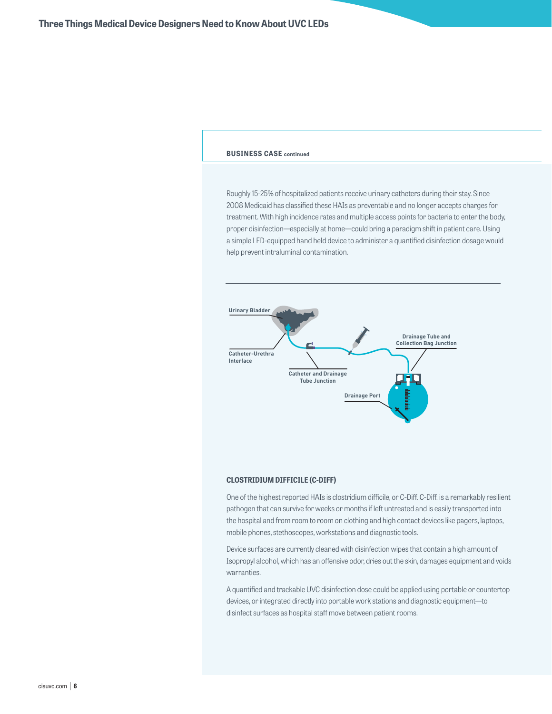### **BUSINESS CASE continued**

Roughly 15-25% of hospitalized patients receive urinary catheters during their stay. Since 2008 Medicaid has classified these HAIs as preventable and no longer accepts charges for treatment. With high incidence rates and multiple access points for bacteria to enter the body, proper disinfection—especially at home—could bring a paradigm shift in patient care. Using a simple LED-equipped hand held device to administer a quantified disinfection dosage would help prevent intraluminal contamination.



#### **CLOSTRIDIUM DIFFICILE (C-DIFF)**

One of the highest reported HAIs is clostridium difficile, or C-Diff. C-Diff. is a remarkably resilient pathogen that can survive for weeks or months if left untreated and is easily transported into the hospital and from room to room on clothing and high contact devices like pagers, laptops, mobile phones, stethoscopes, workstations and diagnostic tools.

Device surfaces are currently cleaned with disinfection wipes that contain a high amount of Isopropyl alcohol, which has an offensive odor, dries out the skin, damages equipment and voids warranties.

A quantified and trackable UVC disinfection dose could be applied using portable or countertop devices, or integrated directly into portable work stations and diagnostic equipment—to disinfect surfaces as hospital staff move between patient rooms.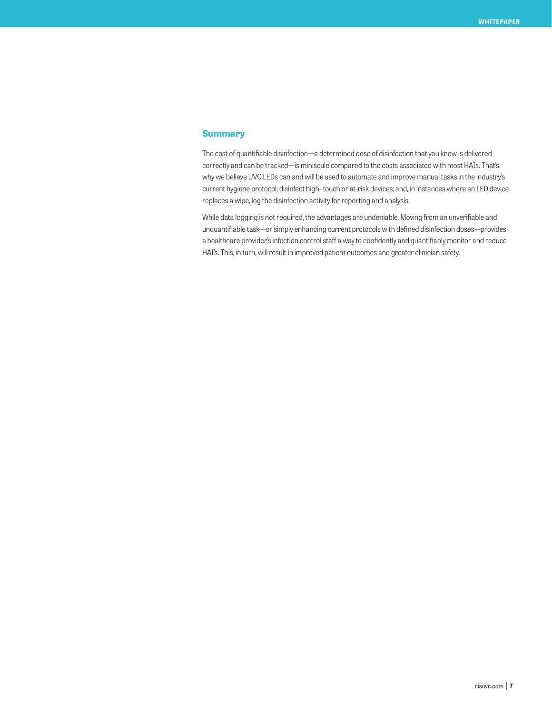# **Summary**

The cost of quantifiable disinfection—a determined dose of disinfection that you know is delivered correctly and can be tracked—is miniscule compared to the costs associated with most HAIs. That's why we believe UVC LEDs can and will be used to automate and improve manual tasks in the industry's current hygiene protocol; disinfect high- touch or at-risk devices; and, in instances where an LED device replaces a wipe, log the disinfection activity for reporting and analysis.

While data logging is not required, the advantages are undeniable. Moving from an unverifiable and unquantifiable task—or simply enhancing current protocols with defined disinfection doses—provides a healthcare provider's infection control staff a way to confidently and quantifiably monitor and reduce HAI's. This, in turn, will result in improved patient outcomes and greater clinician safety.